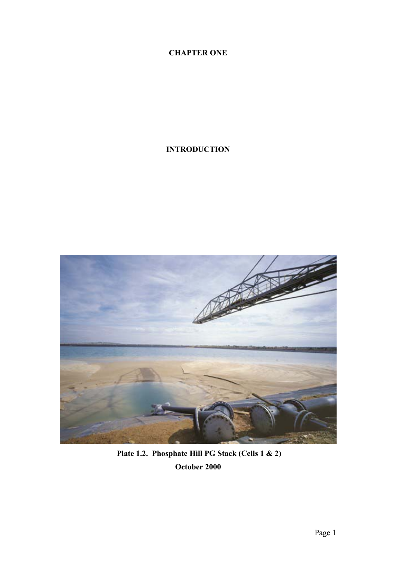# **CHAPTER ONE**

## **INTRODUCTION**



 **Plate 1.2. Phosphate Hill PG Stack (Cells 1 & 2) October 2000**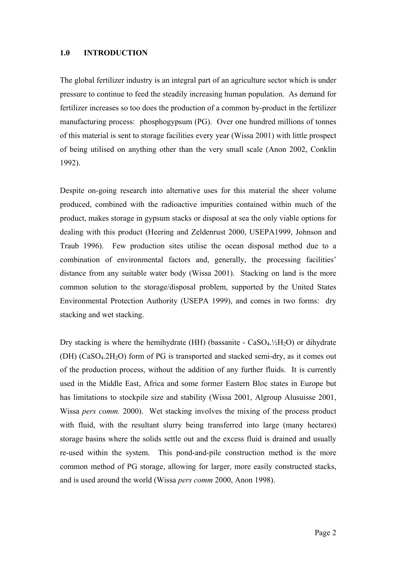#### **1.0 INTRODUCTION**

The global fertilizer industry is an integral part of an agriculture sector which is under pressure to continue to feed the steadily increasing human population. As demand for fertilizer increases so too does the production of a common by-product in the fertilizer manufacturing process: phosphogypsum (PG). Over one hundred millions of tonnes of this material is sent to storage facilities every year (Wissa 2001) with little prospect of being utilised on anything other than the very small scale (Anon 2002, Conklin 1992).

Despite on-going research into alternative uses for this material the sheer volume produced, combined with the radioactive impurities contained within much of the product, makes storage in gypsum stacks or disposal at sea the only viable options for dealing with this product (Heering and Zeldenrust 2000, USEPA1999, Johnson and Traub 1996). Few production sites utilise the ocean disposal method due to a combination of environmental factors and, generally, the processing facilities' distance from any suitable water body (Wissa 2001). Stacking on land is the more common solution to the storage/disposal problem, supported by the United States Environmental Protection Authority (USEPA 1999), and comes in two forms: dry stacking and wet stacking.

Dry stacking is where the hemihydrate (HH) (bassanite -  $CaSO<sub>4</sub>$ .  $/2H<sub>2</sub>O$ ) or dihydrate  $(DH)$  (CaSO<sub>4</sub>.2H<sub>2</sub>O) form of PG is transported and stacked semi-dry, as it comes out of the production process, without the addition of any further fluids. It is currently used in the Middle East, Africa and some former Eastern Bloc states in Europe but has limitations to stockpile size and stability (Wissa 2001, Algroup Alusuisse 2001, Wissa *pers comm.* 2000). Wet stacking involves the mixing of the process product with fluid, with the resultant slurry being transferred into large (many hectares) storage basins where the solids settle out and the excess fluid is drained and usually re-used within the system. This pond-and-pile construction method is the more common method of PG storage, allowing for larger, more easily constructed stacks, and is used around the world (Wissa *pers comm* 2000, Anon 1998).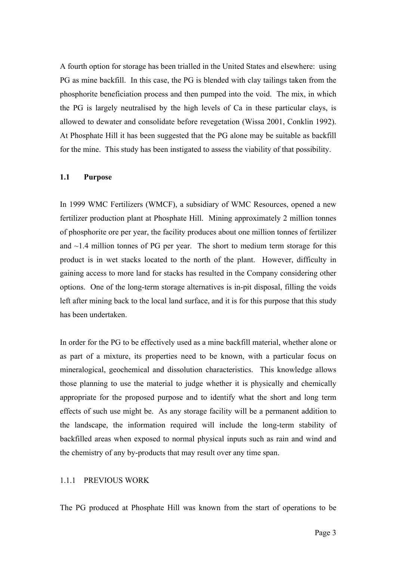A fourth option for storage has been trialled in the United States and elsewhere: using PG as mine backfill. In this case, the PG is blended with clay tailings taken from the phosphorite beneficiation process and then pumped into the void. The mix, in which the PG is largely neutralised by the high levels of Ca in these particular clays, is allowed to dewater and consolidate before revegetation (Wissa 2001, Conklin 1992). At Phosphate Hill it has been suggested that the PG alone may be suitable as backfill for the mine. This study has been instigated to assess the viability of that possibility.

#### **1.1 Purpose**

In 1999 WMC Fertilizers (WMCF), a subsidiary of WMC Resources, opened a new fertilizer production plant at Phosphate Hill. Mining approximately 2 million tonnes of phosphorite ore per year, the facility produces about one million tonnes of fertilizer and  $\sim$ 1.4 million tonnes of PG per year. The short to medium term storage for this product is in wet stacks located to the north of the plant. However, difficulty in gaining access to more land for stacks has resulted in the Company considering other options. One of the long-term storage alternatives is in-pit disposal, filling the voids left after mining back to the local land surface, and it is for this purpose that this study has been undertaken.

In order for the PG to be effectively used as a mine backfill material, whether alone or as part of a mixture, its properties need to be known, with a particular focus on mineralogical, geochemical and dissolution characteristics. This knowledge allows those planning to use the material to judge whether it is physically and chemically appropriate for the proposed purpose and to identify what the short and long term effects of such use might be. As any storage facility will be a permanent addition to the landscape, the information required will include the long-term stability of backfilled areas when exposed to normal physical inputs such as rain and wind and the chemistry of any by-products that may result over any time span.

#### 1.1.1 PREVIOUS WORK

The PG produced at Phosphate Hill was known from the start of operations to be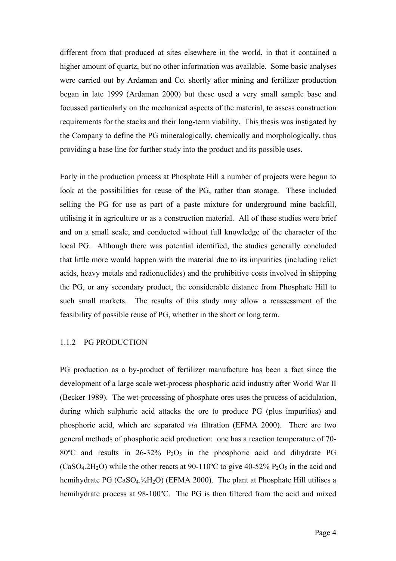different from that produced at sites elsewhere in the world, in that it contained a higher amount of quartz, but no other information was available. Some basic analyses were carried out by Ardaman and Co. shortly after mining and fertilizer production began in late 1999 (Ardaman 2000) but these used a very small sample base and focussed particularly on the mechanical aspects of the material, to assess construction requirements for the stacks and their long-term viability. This thesis was instigated by the Company to define the PG mineralogically, chemically and morphologically, thus providing a base line for further study into the product and its possible uses.

Early in the production process at Phosphate Hill a number of projects were begun to look at the possibilities for reuse of the PG, rather than storage. These included selling the PG for use as part of a paste mixture for underground mine backfill, utilising it in agriculture or as a construction material. All of these studies were brief and on a small scale, and conducted without full knowledge of the character of the local PG. Although there was potential identified, the studies generally concluded that little more would happen with the material due to its impurities (including relict acids, heavy metals and radionuclides) and the prohibitive costs involved in shipping the PG, or any secondary product, the considerable distance from Phosphate Hill to such small markets. The results of this study may allow a reassessment of the feasibility of possible reuse of PG, whether in the short or long term.

#### 1.1.2 PG PRODUCTION

PG production as a by-product of fertilizer manufacture has been a fact since the development of a large scale wet-process phosphoric acid industry after World War II (Becker 1989). The wet-processing of phosphate ores uses the process of acidulation, during which sulphuric acid attacks the ore to produce PG (plus impurities) and phosphoric acid, which are separated *via* filtration (EFMA 2000). There are two general methods of phosphoric acid production: one has a reaction temperature of 70- 80 $\degree$ C and results in 26-32% P<sub>2</sub>O<sub>5</sub> in the phosphoric acid and dihydrate PG  $(CaSO<sub>4</sub>.2H<sub>2</sub>O)$  while the other reacts at 90-110°C to give 40-52% P<sub>2</sub>O<sub>5</sub> in the acid and hemihydrate PG (CaSO<sub>4</sub>.<sup>1</sup>/<sub>2</sub>H<sub>2</sub>O) (EFMA 2000). The plant at Phosphate Hill utilises a hemihydrate process at 98-100°C. The PG is then filtered from the acid and mixed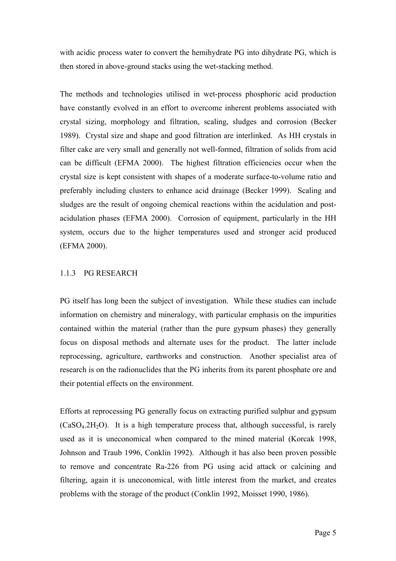with acidic process water to convert the hemihydrate PG into dihydrate PG, which is then stored in above-ground stacks using the wet-stacking method.

The methods and technologies utilised in wet-process phosphoric acid production have constantly evolved in an effort to overcome inherent problems associated with crystal sizing, morphology and filtration, scaling, sludges and corrosion (Becker 1989). Crystal size and shape and good filtration are interlinked. As HH crystals in filter cake are very small and generally not well-formed, filtration of solids from acid can be difficult (EFMA 2000). The highest filtration efficiencies occur when the crystal size is kept consistent with shapes of a moderate surface-to-volume ratio and preferably including clusters to enhance acid drainage (Becker 1999). Scaling and sludges are the result of ongoing chemical reactions within the acidulation and postacidulation phases (EFMA 2000). Corrosion of equipment, particularly in the HH system, occurs due to the higher temperatures used and stronger acid produced (EFMA 2000).

## 1.1.3 PG RESEARCH

PG itself has long been the subject of investigation. While these studies can include information on chemistry and mineralogy, with particular emphasis on the impurities contained within the material (rather than the pure gypsum phases) they generally focus on disposal methods and alternate uses for the product. The latter include reprocessing, agriculture, earthworks and construction. Another specialist area of research is on the radionuclides that the PG inherits from its parent phosphate ore and their potential effects on the environment.

Efforts at reprocessing PG generally focus on extracting purified sulphur and gypsum  $(CaSO<sub>4</sub>.2H<sub>2</sub>O)$ . It is a high temperature process that, although successful, is rarely used as it is uneconomical when compared to the mined material (Korcak 1998, Johnson and Traub 1996, Conklin 1992). Although it has also been proven possible to remove and concentrate Ra-226 from PG using acid attack or calcining and filtering, again it is uneconomical, with little interest from the market, and creates problems with the storage of the product (Conklin 1992, Moisset 1990, 1986).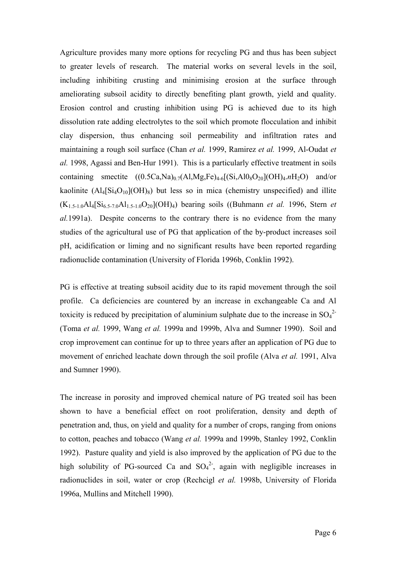Agriculture provides many more options for recycling PG and thus has been subject to greater levels of research. The material works on several levels in the soil, including inhibiting crusting and minimising erosion at the surface through ameliorating subsoil acidity to directly benefiting plant growth, yield and quality. Erosion control and crusting inhibition using PG is achieved due to its high dissolution rate adding electrolytes to the soil which promote flocculation and inhibit clay dispersion, thus enhancing soil permeability and infiltration rates and maintaining a rough soil surface (Chan *et al.* 1999, Ramirez *et al.* 1999, Al-Oudat *et al.* 1998, Agassi and Ben-Hur 1991). This is a particularly effective treatment in soils containing smectite  $((0.5Ca,Na)_{0.7}(A1,Mg,Fe)_{4.6}[(Si,Al0_8O_{20}](OH)_{4.7}H_2O)$  and/or kaolinite  $(Al_4[Si_4O_{10}](OH)_8)$  but less so in mica (chemistry unspecified) and illite  $(K_{1.5-1.0}Al_4[Si_{6.5-7.0}Al_{1.5-1.0}O_{20}](OH)_4$ ) bearing soils ((Buhmann *et al.* 1996, Stern *et al.*1991a). Despite concerns to the contrary there is no evidence from the many studies of the agricultural use of PG that application of the by-product increases soil pH, acidification or liming and no significant results have been reported regarding radionuclide contamination (University of Florida 1996b, Conklin 1992).

PG is effective at treating subsoil acidity due to its rapid movement through the soil profile. Ca deficiencies are countered by an increase in exchangeable Ca and Al toxicity is reduced by precipitation of aluminium sulphate due to the increase in  $SO_4^2$ (Toma *et al.* 1999, Wang *et al.* 1999a and 1999b, Alva and Sumner 1990). Soil and crop improvement can continue for up to three years after an application of PG due to movement of enriched leachate down through the soil profile (Alva *et al.* 1991, Alva and Sumner 1990).

The increase in porosity and improved chemical nature of PG treated soil has been shown to have a beneficial effect on root proliferation, density and depth of penetration and, thus, on yield and quality for a number of crops, ranging from onions to cotton, peaches and tobacco (Wang *et al.* 1999a and 1999b, Stanley 1992, Conklin 1992). Pasture quality and yield is also improved by the application of PG due to the high solubility of PG-sourced Ca and  $SO_4^2$ , again with negligible increases in radionuclides in soil, water or crop (Rechcigl *et al.* 1998b, University of Florida 1996a, Mullins and Mitchell 1990).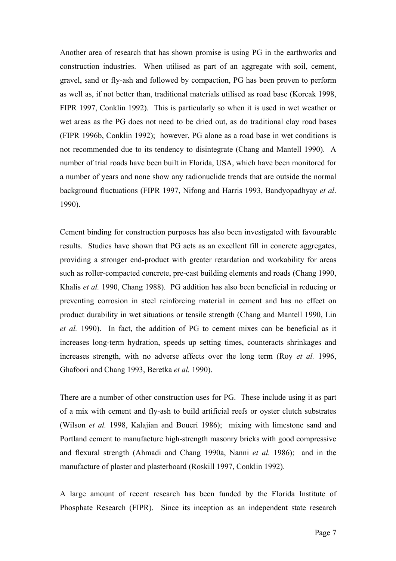Another area of research that has shown promise is using PG in the earthworks and construction industries. When utilised as part of an aggregate with soil, cement, gravel, sand or fly-ash and followed by compaction, PG has been proven to perform as well as, if not better than, traditional materials utilised as road base (Korcak 1998, FIPR 1997, Conklin 1992). This is particularly so when it is used in wet weather or wet areas as the PG does not need to be dried out, as do traditional clay road bases (FIPR 1996b, Conklin 1992); however, PG alone as a road base in wet conditions is not recommended due to its tendency to disintegrate (Chang and Mantell 1990). A number of trial roads have been built in Florida, USA, which have been monitored for a number of years and none show any radionuclide trends that are outside the normal background fluctuations (FIPR 1997, Nifong and Harris 1993, Bandyopadhyay *et al*. 1990).

Cement binding for construction purposes has also been investigated with favourable results. Studies have shown that PG acts as an excellent fill in concrete aggregates, providing a stronger end-product with greater retardation and workability for areas such as roller-compacted concrete, pre-cast building elements and roads (Chang 1990, Khalis *et al.* 1990, Chang 1988). PG addition has also been beneficial in reducing or preventing corrosion in steel reinforcing material in cement and has no effect on product durability in wet situations or tensile strength (Chang and Mantell 1990, Lin *et al.* 1990). In fact, the addition of PG to cement mixes can be beneficial as it increases long-term hydration, speeds up setting times, counteracts shrinkages and increases strength, with no adverse affects over the long term (Roy *et al.* 1996, Ghafoori and Chang 1993, Beretka *et al.* 1990).

There are a number of other construction uses for PG. These include using it as part of a mix with cement and fly-ash to build artificial reefs or oyster clutch substrates (Wilson *et al.* 1998, Kalajian and Boueri 1986); mixing with limestone sand and Portland cement to manufacture high-strength masonry bricks with good compressive and flexural strength (Ahmadi and Chang 1990a, Nanni *et al.* 1986); and in the manufacture of plaster and plasterboard (Roskill 1997, Conklin 1992).

A large amount of recent research has been funded by the Florida Institute of Phosphate Research (FIPR). Since its inception as an independent state research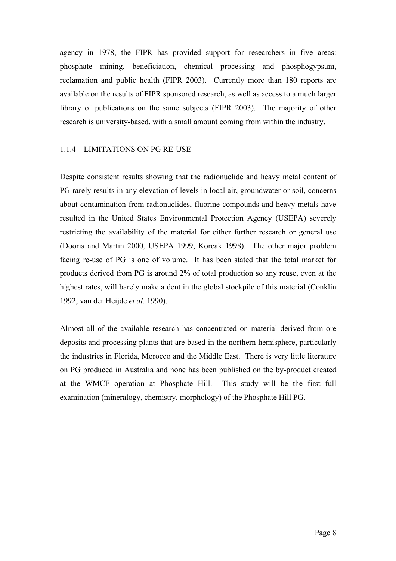agency in 1978, the FIPR has provided support for researchers in five areas: phosphate mining, beneficiation, chemical processing and phosphogypsum, reclamation and public health (FIPR 2003). Currently more than 180 reports are available on the results of FIPR sponsored research, as well as access to a much larger library of publications on the same subjects (FIPR 2003). The majority of other research is university-based, with a small amount coming from within the industry.

## 1.1.4 LIMITATIONS ON PG RE-USE

Despite consistent results showing that the radionuclide and heavy metal content of PG rarely results in any elevation of levels in local air, groundwater or soil, concerns about contamination from radionuclides, fluorine compounds and heavy metals have resulted in the United States Environmental Protection Agency (USEPA) severely restricting the availability of the material for either further research or general use (Dooris and Martin 2000, USEPA 1999, Korcak 1998). The other major problem facing re-use of PG is one of volume. It has been stated that the total market for products derived from PG is around 2% of total production so any reuse, even at the highest rates, will barely make a dent in the global stockpile of this material (Conklin 1992, van der Heijde *et al.* 1990).

Almost all of the available research has concentrated on material derived from ore deposits and processing plants that are based in the northern hemisphere, particularly the industries in Florida, Morocco and the Middle East. There is very little literature on PG produced in Australia and none has been published on the by-product created at the WMCF operation at Phosphate Hill. This study will be the first full examination (mineralogy, chemistry, morphology) of the Phosphate Hill PG.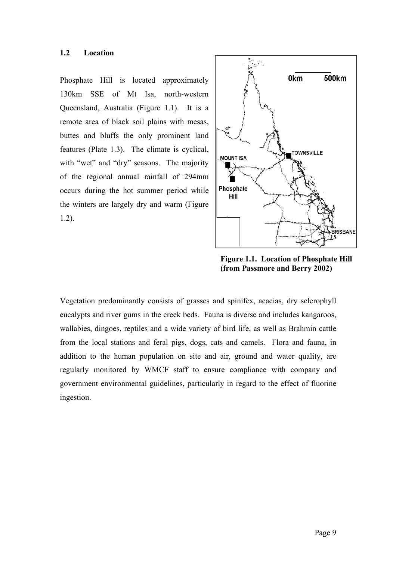### **1.2 Location**

Phosphate Hill is located approximately 130km SSE of Mt Isa, north-western Queensland, Australia (Figure 1.1). It is a remote area of black soil plains with mesas, buttes and bluffs the only prominent land features (Plate 1.3). The climate is cyclical, with "wet" and "dry" seasons. The majority of the regional annual rainfall of 294mm occurs during the hot summer period while the winters are largely dry and warm (Figure 1.2).



**Figure 1.1. Location of Phosphate Hill (from Passmore and Berry 2002)**

Vegetation predominantly consists of grasses and spinifex, acacias, dry sclerophyll eucalypts and river gums in the creek beds. Fauna is diverse and includes kangaroos, wallabies, dingoes, reptiles and a wide variety of bird life, as well as Brahmin cattle from the local stations and feral pigs, dogs, cats and camels. Flora and fauna, in addition to the human population on site and air, ground and water quality, are regularly monitored by WMCF staff to ensure compliance with company and government environmental guidelines, particularly in regard to the effect of fluorine ingestion.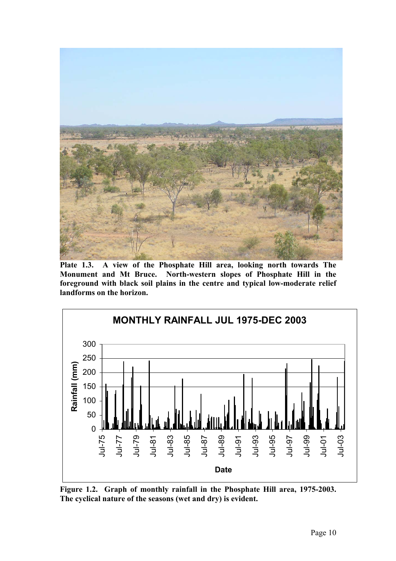

**Plate 1.3. A view of the Phosphate Hill area, looking north towards The Monument and Mt Bruce. North-western slopes of Phosphate Hill in the foreground with black soil plains in the centre and typical low-moderate relief landforms on the horizon.** 



**Figure 1.2. Graph of monthly rainfall in the Phosphate Hill area, 1975-2003. The cyclical nature of the seasons (wet and dry) is evident.**